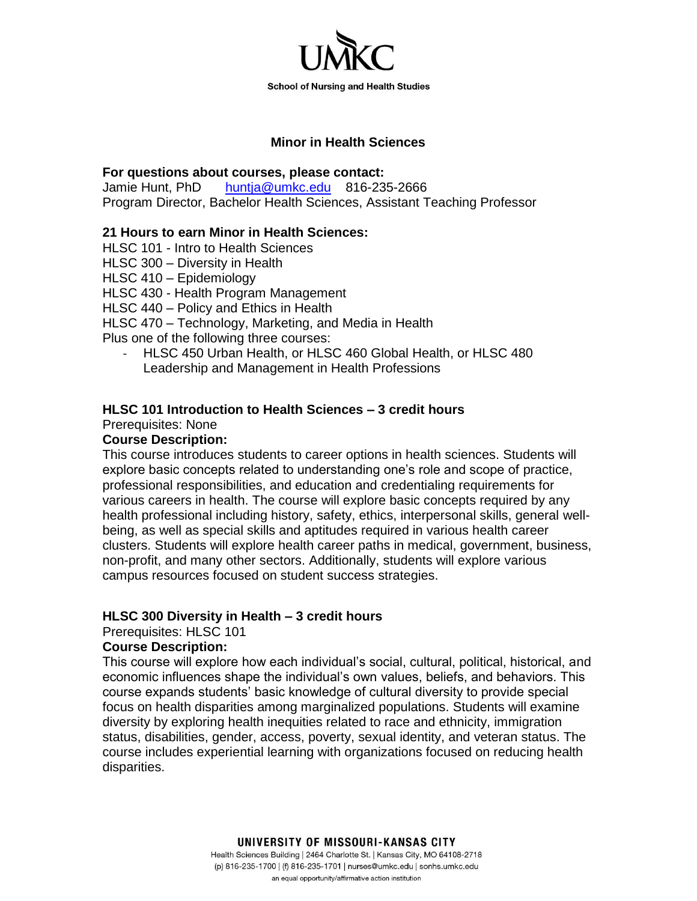

#### **Minor in Health Sciences**

#### **For questions about courses, please contact:**

Jamie Hunt, PhD [huntja@umkc.edu](mailto:huntja@umkc.edu) 816-235-2666 Program Director, Bachelor Health Sciences, Assistant Teaching Professor

### **21 Hours to earn Minor in Health Sciences:**

HLSC 101 - Intro to Health Sciences

HLSC 300 – Diversity in Health

HLSC 410 – Epidemiology

HLSC 430 - Health Program Management

HLSC 440 – Policy and Ethics in Health

HLSC 470 – Technology, Marketing, and Media in Health

Plus one of the following three courses:

- HLSC 450 Urban Health, or HLSC 460 Global Health, or HLSC 480 Leadership and Management in Health Professions

# **HLSC 101 Introduction to Health Sciences – 3 credit hours**

Prerequisites: None

# **Course Description:**

This course introduces students to career options in health sciences. Students will explore basic concepts related to understanding one's role and scope of practice, professional responsibilities, and education and credentialing requirements for various careers in health. The course will explore basic concepts required by any health professional including history, safety, ethics, interpersonal skills, general wellbeing, as well as special skills and aptitudes required in various health career clusters. Students will explore health career paths in medical, government, business, non-profit, and many other sectors. Additionally, students will explore various campus resources focused on student success strategies.

### **HLSC 300 Diversity in Health – 3 credit hours**

Prerequisites: HLSC 101

### **Course Description:**

This course will explore how each individual's social, cultural, political, historical, and economic influences shape the individual's own values, beliefs, and behaviors. This course expands students' basic knowledge of cultural diversity to provide special focus on health disparities among marginalized populations. Students will examine diversity by exploring health inequities related to race and ethnicity, immigration status, disabilities, gender, access, poverty, sexual identity, and veteran status. The course includes experiential learning with organizations focused on reducing health disparities.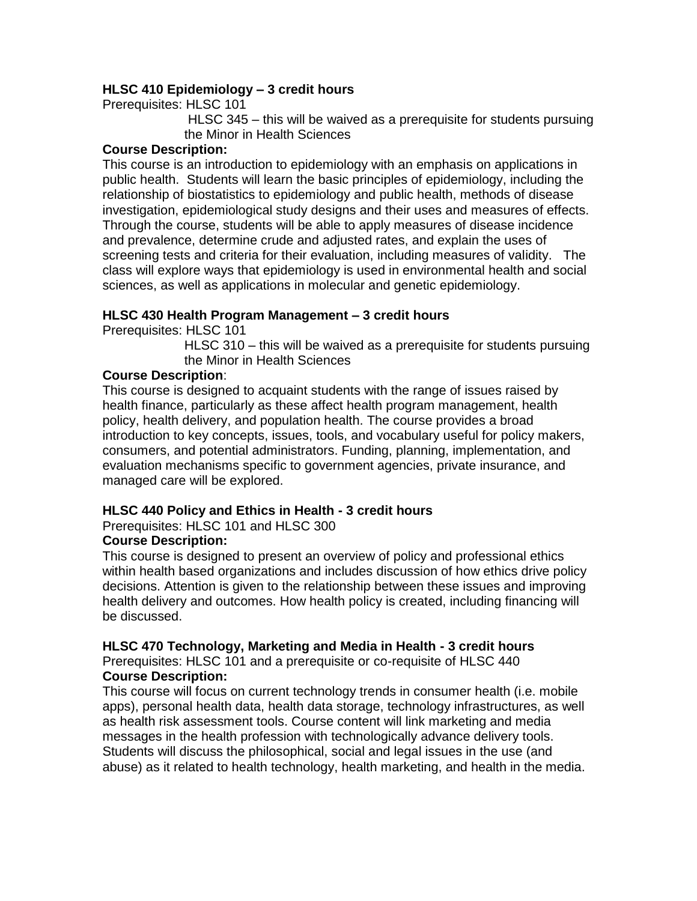# **HLSC 410 Epidemiology – 3 credit hours**

Prerequisites: HLSC 101

HLSC 345 – this will be waived as a prerequisite for students pursuing the Minor in Health Sciences

### **Course Description:**

This course is an introduction to epidemiology with an emphasis on applications in public health. Students will learn the basic principles of epidemiology, including the relationship of biostatistics to epidemiology and public health, methods of disease investigation, epidemiological study designs and their uses and measures of effects. Through the course, students will be able to apply measures of disease incidence and prevalence, determine crude and adjusted rates, and explain the uses of screening tests and criteria for their evaluation, including measures of validity. The class will explore ways that epidemiology is used in environmental health and social sciences, as well as applications in molecular and genetic epidemiology.

# **HLSC 430 Health Program Management – 3 credit hours**

Prerequisites: HLSC 101

HLSC 310 – this will be waived as a prerequisite for students pursuing the Minor in Health Sciences

### **Course Description**:

This course is designed to acquaint students with the range of issues raised by health finance, particularly as these affect health program management, health policy, health delivery, and population health. The course provides a broad introduction to key concepts, issues, tools, and vocabulary useful for policy makers, consumers, and potential administrators. Funding, planning, implementation, and evaluation mechanisms specific to government agencies, private insurance, and managed care will be explored.

### **HLSC 440 Policy and Ethics in Health - 3 credit hours**

Prerequisites: HLSC 101 and HLSC 300

### **Course Description:**

This course is designed to present an overview of policy and professional ethics within health based organizations and includes discussion of how ethics drive policy decisions. Attention is given to the relationship between these issues and improving health delivery and outcomes. How health policy is created, including financing will be discussed.

### **HLSC 470 Technology, Marketing and Media in Health - 3 credit hours**

Prerequisites: HLSC 101 and a prerequisite or co-requisite of HLSC 440 **Course Description:** 

This course will focus on current technology trends in consumer health (i.e. mobile apps), personal health data, health data storage, technology infrastructures, as well as health risk assessment tools. Course content will link marketing and media messages in the health profession with technologically advance delivery tools. Students will discuss the philosophical, social and legal issues in the use (and abuse) as it related to health technology, health marketing, and health in the media.